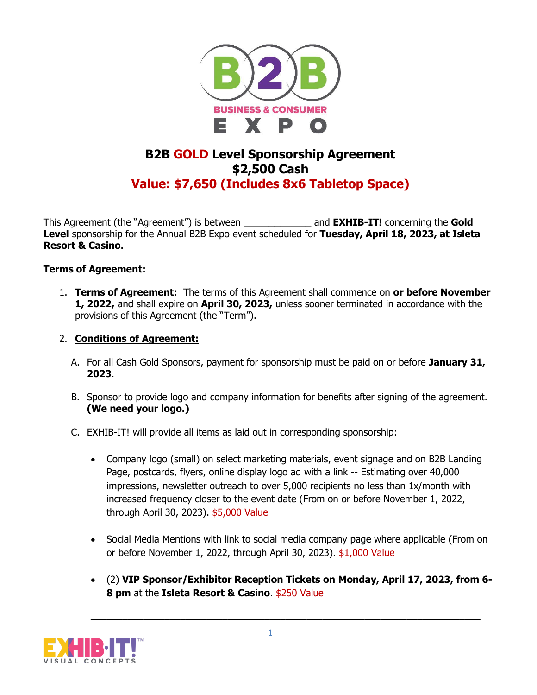

## **B2B GOLD Level Sponsorship Agreement \$2,500 Cash Value: \$7,650 (Includes 8x6 Tabletop Space)**

This Agreement (the "Agreement") is between **\_\_\_\_\_\_\_\_\_\_\_** and **EXHIB-IT!** concerning the **Gold Level** sponsorship for the Annual B2B Expo event scheduled for **Tuesday, April 18, 2023, at Isleta Resort & Casino.**

## **Terms of Agreement:**

1. **Terms of Agreement:** The terms of this Agreement shall commence on **or before November 1, 2022,** and shall expire on **April 30, 2023,** unless sooner terminated in accordance with the provisions of this Agreement (the "Term").

## 2. **Conditions of Agreement:**

- A. For all Cash Gold Sponsors, payment for sponsorship must be paid on or before **January 31, 2023**.
- B. Sponsor to provide logo and company information for benefits after signing of the agreement. **(We need your logo.)**
- C. EXHIB-IT! will provide all items as laid out in corresponding sponsorship:
	- Company logo (small) on select marketing materials, event signage and on B2B Landing Page, postcards, flyers, online display logo ad with a link -- Estimating over 40,000 impressions, newsletter outreach to over 5,000 recipients no less than 1x/month with increased frequency closer to the event date (From on or before November 1, 2022, through April 30, 2023). \$5,000 Value
	- Social Media Mentions with link to social media company page where applicable (From on or before November 1, 2022, through April 30, 2023). \$1,000 Value
	- (2) **VIP Sponsor/Exhibitor Reception Tickets on Monday, April 17, 2023, from 6- 8 pm** at the **Isleta Resort & Casino**. \$250 Value

 $\_$  , and the set of the set of the set of the set of the set of the set of the set of the set of the set of the set of the set of the set of the set of the set of the set of the set of the set of the set of the set of th